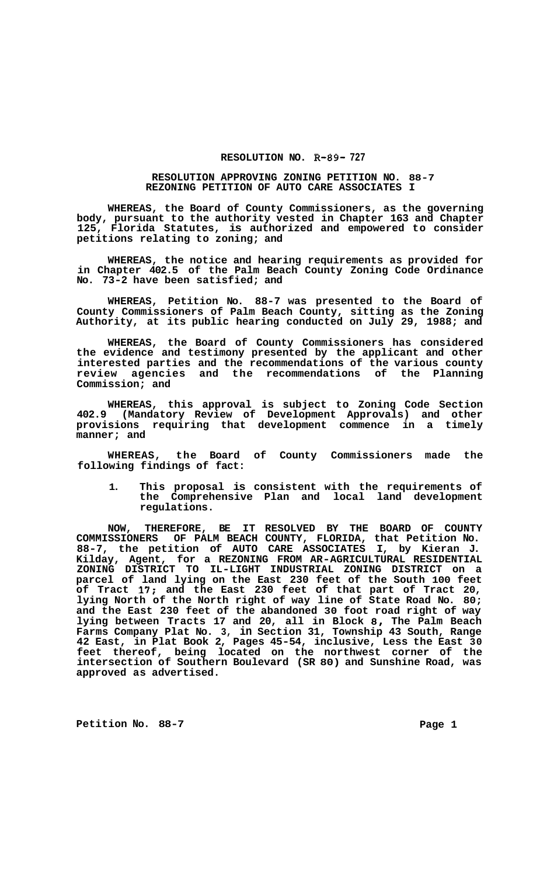## **RESOLUTION NO. R-89- 727**

## **RESOLUTION APPROVING ZONING PETITION NO. 88-7 REZONING PETITION OF AUTO CARE ASSOCIATES I**

**WHEREAS, the Board of County Commissioners, as the governing body, pursuant to the authority vested in Chapter 163 and Chapter 125, Florida Statutes, is authorized and empowered to consider petitions relating to zoning; and** 

**WHEREAS, the notice and hearing requirements as provided for in Chapter 402.5 of the Palm Beach County Zoning Code Ordinance No. 73-2 have been satisfied; and** 

**WHEREAS, Petition No. 88-7 was presented to the Board of County Commissioners of Palm Beach County, sitting as the Zoning Authority, at its public hearing conducted on July 29, 1988; and** 

**WHEREAS, the Board of County Commissioners has considered the evidence and testimony presented by the applicant and other interested parties and the recommendations of the various county review agencies and the recommendations of the Planning Commission; and** 

**WHEREAS, this approval is subject to Zoning Code Section 402.9 (Mandatory Review of Development Approvals) and other provisions requiring that development commence in a timely manner; and** 

**WHEREAS, the Board of County Commissioners made the following findings of fact:** 

**1. This proposal is consistent with the requirements of the Comprehensive Plan and local land development regulations.** 

**NOW, THEREFORE, BE IT RESOLVED BY THE BOARD OF COUNTY COMMISSIONERS OF PALM BEACH COUNTY, FLORIDA, that Petition No. 88-7, the petition of AUTO CARE ASSOCIATES I, by Kieran J. Kilday, Agent, for a REZONING FROM AR-AGRICULTURAL RESIDENTIAL ZONING DISTRICT TO IL-LIGHT INDUSTRIAL ZONING DISTRICT on a parcel of land lying on the East 230 feet of the South 100 feet of Tract 17; and the East 230 feet of that part of Tract 20, lying North of the North right of way line of State Road No. 80; and the East 230 feet of the abandoned 30 foot road right of way**  lying between Tracts 17 and 20, all in Block 8, The Palm Beach **Farms Company Plat No. 3, in Section 31, Township 43 South, Range 42 East, in Plat Book 2, Pages 45-54, inclusive, Less the East 30 feet thereof, being located on the northwest corner of the intersection of Southern Boulevard (SR 80) and Sunshine Road, was approved as advertised.** 

Petition No. 88-7 **Page 1 Page 1**